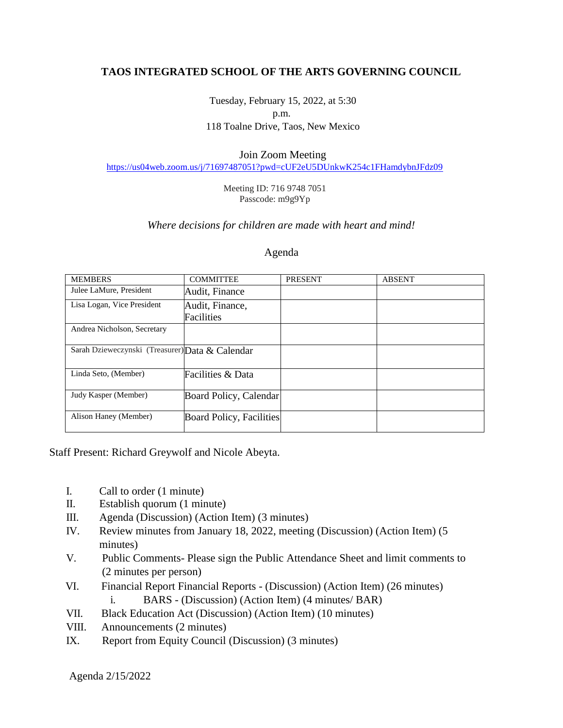# **TAOS INTEGRATED SCHOOL OF THE ARTS GOVERNING COUNCIL**

Tuesday, February 15, 2022, at 5:30 p.m. 118 Toalne Drive, Taos, New Mexico

#### Join Zoom Meeting

<https://us04web.zoom.us/j/71697487051?pwd=cUF2eU5DUnkwK254c1FHamdybnJFdz09>

#### Meeting ID: 716 9748 7051 Passcode: m9g9Yp

## *Where decisions for children are made with heart and mind!*

### Agenda

| <b>MEMBERS</b>                                  | <b>COMMITTEE</b>                | <b>PRESENT</b> | <b>ABSENT</b> |
|-------------------------------------------------|---------------------------------|----------------|---------------|
| Julee LaMure, President                         | Audit, Finance                  |                |               |
| Lisa Logan, Vice President                      | Audit, Finance,                 |                |               |
|                                                 | Facilities                      |                |               |
| Andrea Nicholson, Secretary                     |                                 |                |               |
|                                                 |                                 |                |               |
| Sarah Dzieweczynski (Treasurer) Data & Calendar |                                 |                |               |
|                                                 |                                 |                |               |
| Linda Seto, (Member)                            | Facilities & Data               |                |               |
|                                                 |                                 |                |               |
| Judy Kasper (Member)                            | Board Policy, Calendar          |                |               |
|                                                 |                                 |                |               |
| Alison Haney (Member)                           | <b>Board Policy, Facilities</b> |                |               |
|                                                 |                                 |                |               |

Staff Present: Richard Greywolf and Nicole Abeyta.

- I. Call to order (1 minute)
- II. Establish quorum (1 minute)
- III. Agenda (Discussion) (Action Item) (3 minutes)
- IV. Review minutes from January 18, 2022, meeting (Discussion) (Action Item) (5 minutes)
- V. Public Comments- Please sign the Public Attendance Sheet and limit comments to (2 minutes per person)
- VI. Financial Report Financial Reports (Discussion) (Action Item) (26 minutes) i. BARS - (Discussion) (Action Item) (4 minutes/ BAR)
- VII. Black Education Act (Discussion) (Action Item) (10 minutes)
- VIII. Announcements (2 minutes)
- IX. Report from Equity Council (Discussion) (3 minutes)

Agenda 2/15/2022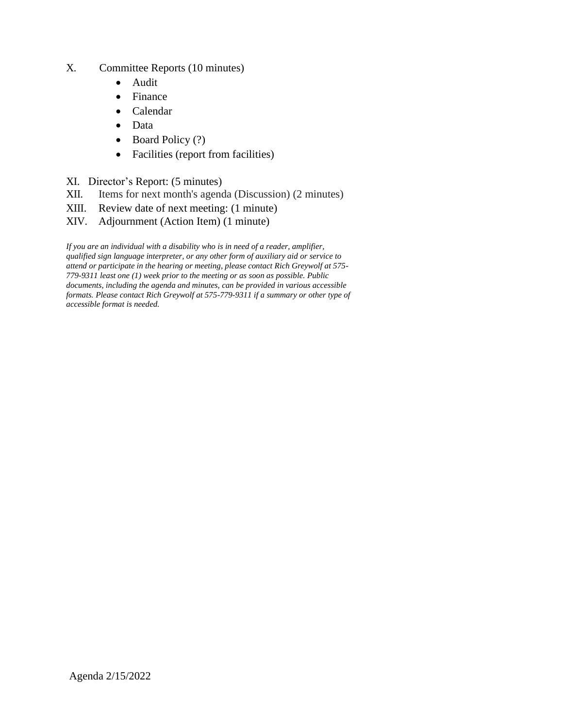- X. Committee Reports (10 minutes)
	- Audit
	- Finance
	- Calendar
	- Data
	- Board Policy (?)
	- Facilities (report from facilities)
- XI. Director's Report: (5 minutes)
- XII. Items for next month's agenda (Discussion) (2 minutes)
- XIII. Review date of next meeting: (1 minute)
- XIV. Adjournment (Action Item) (1 minute)

*If you are an individual with a disability who is in need of a reader, amplifier, qualified sign language interpreter, or any other form of auxiliary aid or service to attend or participate in the hearing or meeting, please contact Rich Greywolf at 575- 779-9311 least one (1) week prior to the meeting or as soon as possible. Public documents, including the agenda and minutes, can be provided in various accessible formats. Please contact Rich Greywolf at 575-779-9311 if a summary or other type of accessible format is needed.*